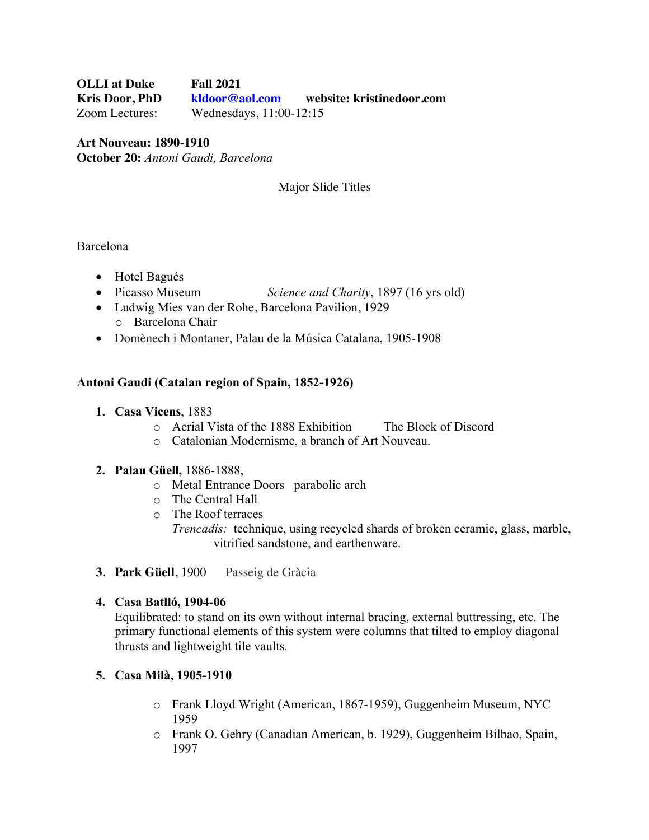**OLLI at Duke Fall 2021 Kris Door, PhD kldoor@aol.com website: kristinedoor.com** Zoom Lectures: Wednesdays, 11:00-12:15

**Art Nouveau: 1890-1910 October 20:** *Antoni Gaudi, Barcelona*

**Major Slide Titles** 

Barcelona

- Hotel Bagués
- Picasso Museum *Science and Charity*, 1897 (16 yrs old)
- Ludwig Mies van der Rohe, Barcelona Pavilion, 1929 o Barcelona Chair
- Domènech i Montaner, Palau de la Música Catalana, 1905-1908

## **Antoni Gaudi (Catalan region of Spain, 1852-1926)**

- **1. Casa Vicens**, 1883
	- o Aerial Vista of the 1888 Exhibition The Block of Discord
	- o Catalonian Modernisme, a branch of Art Nouveau.

#### **2. Palau Güell,** 1886-1888,

- o Metal Entrance Doors parabolic arch
- o The Central Hall
- o The Roof terraces

*Trencadís:* technique, using recycled shards of broken ceramic, glass, marble, vitrified sandstone, and earthenware.

**3. Park Güell**, 1900 Passeig de Gràcia

## **4. Casa Batlló, 1904-06**

Equilibrated: to stand on its own without internal bracing, external buttressing, etc. The primary functional elements of this system were columns that tilted to employ diagonal thrusts and lightweight tile vaults.

## **5. Casa Milà, 1905-1910**

- o Frank Lloyd Wright (American, 1867-1959), Guggenheim Museum, NYC 1959
- o Frank O. Gehry (Canadian American, b. 1929), Guggenheim Bilbao, Spain, 1997